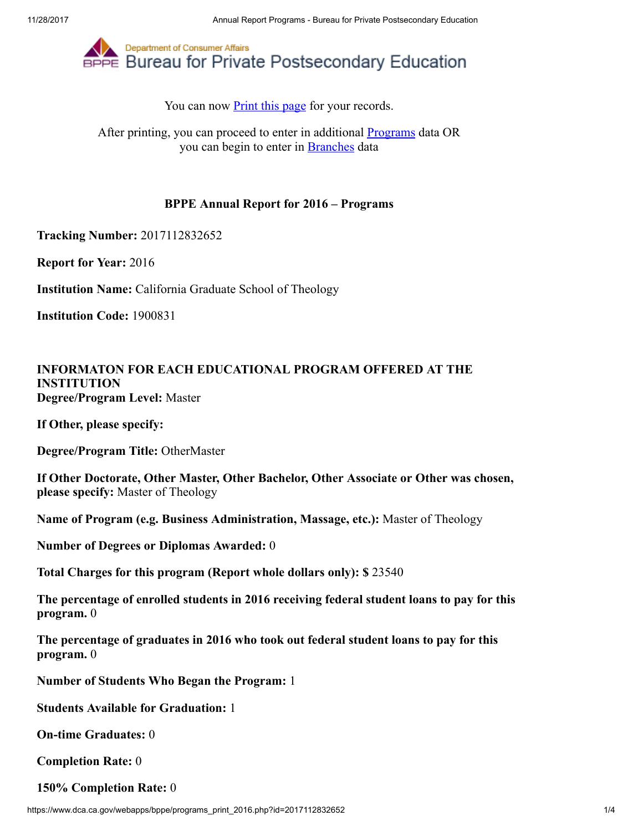

You can now **Print this page** for your records.

After printing, you can proceed to enter in additional **Programs** data OR you can begin to enter in [Branches](https://www.dca.ca.gov/webapps/bppe/report_branches_2016.php) data

## BPPE Annual Report for 2016 – Programs

Tracking Number: 2017112832652

Report for Year: 2016

Institution Name: California Graduate School of Theology

Institution Code: 1900831

## INFORMATON FOR EACH EDUCATIONAL PROGRAM OFFERED AT THE INSTITUTION Degree/Program Level: Master

If Other, please specify:

Degree/Program Title: OtherMaster

If Other Doctorate, Other Master, Other Bachelor, Other Associate or Other was chosen, please specify: Master of Theology

Name of Program (e.g. Business Administration, Massage, etc.): Master of Theology

Number of Degrees or Diplomas Awarded: 0

Total Charges for this program (Report whole dollars only): \$ 23540

The percentage of enrolled students in 2016 receiving federal student loans to pay for this program. 0

The percentage of graduates in 2016 who took out federal student loans to pay for this program. 0

Number of Students Who Began the Program: 1

Students Available for Graduation: 1

On-time Graduates: 0

Completion Rate: 0

150% Completion Rate: 0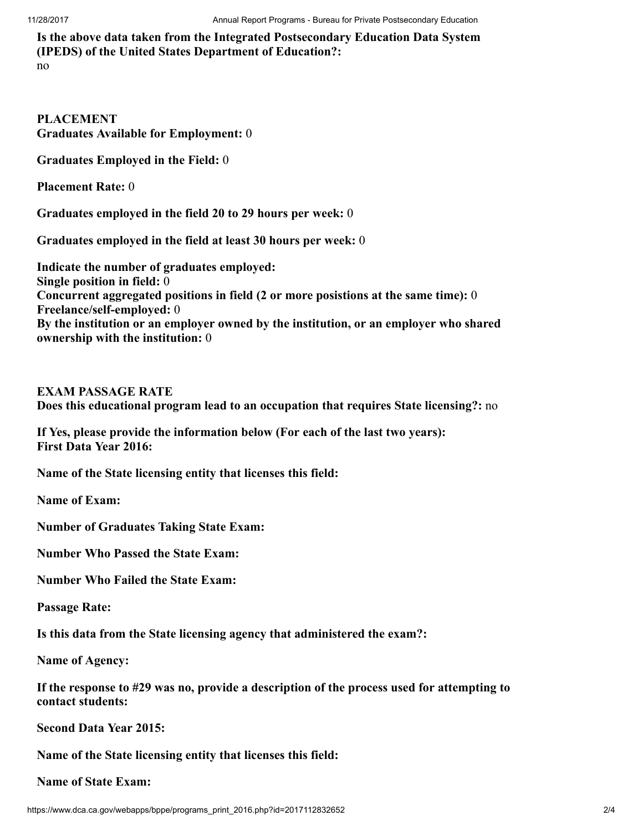Is the above data taken from the Integrated Postsecondary Education Data System (IPEDS) of the United States Department of Education?: no

PLACEMENT Graduates Available for Employment: 0

Graduates Employed in the Field: 0

Placement Rate: 0

Graduates employed in the field 20 to 29 hours per week: 0

Graduates employed in the field at least 30 hours per week: 0

Indicate the number of graduates employed: Single position in field: 0 Concurrent aggregated positions in field (2 or more posistions at the same time): 0 Freelance/self-employed: 0 By the institution or an employer owned by the institution, or an employer who shared ownership with the institution: 0

EXAM PASSAGE RATE

Does this educational program lead to an occupation that requires State licensing?: no

If Yes, please provide the information below (For each of the last two years): First Data Year 2016:

Name of the State licensing entity that licenses this field:

Name of Exam:

Number of Graduates Taking State Exam:

Number Who Passed the State Exam:

Number Who Failed the State Exam:

Passage Rate:

Is this data from the State licensing agency that administered the exam?:

Name of Agency:

If the response to #29 was no, provide a description of the process used for attempting to contact students:

Second Data Year 2015:

Name of the State licensing entity that licenses this field:

Name of State Exam: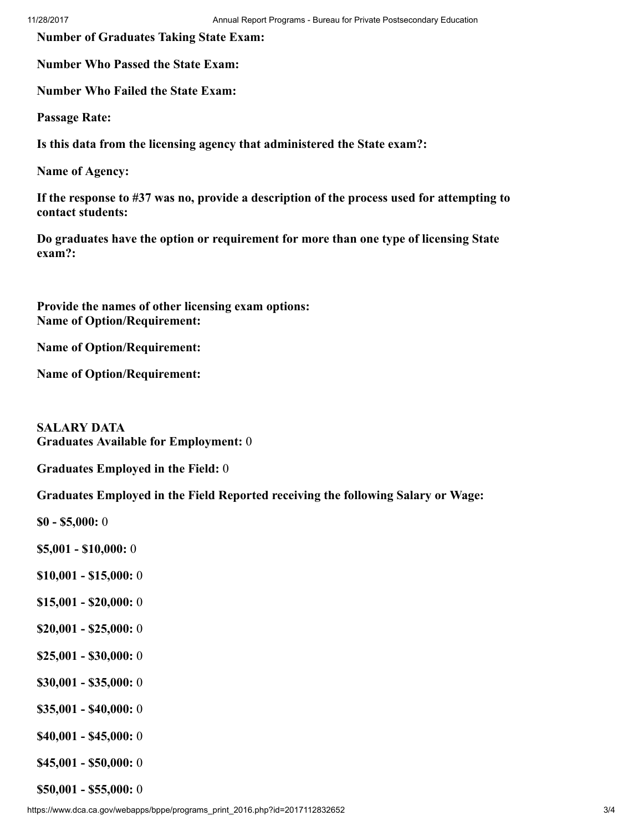Number of Graduates Taking State Exam:

Number Who Passed the State Exam:

Number Who Failed the State Exam:

Passage Rate:

Is this data from the licensing agency that administered the State exam?:

Name of Agency:

If the response to #37 was no, provide a description of the process used for attempting to contact students:

Do graduates have the option or requirement for more than one type of licensing State exam?:

Provide the names of other licensing exam options: Name of Option/Requirement:

Name of Option/Requirement:

Name of Option/Requirement:

SALARY DATA Graduates Available for Employment: 0

Graduates Employed in the Field: 0

Graduates Employed in the Field Reported receiving the following Salary or Wage:

\$0 - \$5,000: 0

\$5,001 - \$10,000: 0

- \$10,001 \$15,000: 0
- \$15,001 \$20,000: 0
- \$20,001 \$25,000: 0
- \$25,001 \$30,000: 0
- \$30,001 \$35,000: 0
- \$35,001 \$40,000: 0
- \$40,001 \$45,000: 0
- \$45,001 \$50,000: 0

\$50,001 - \$55,000: 0